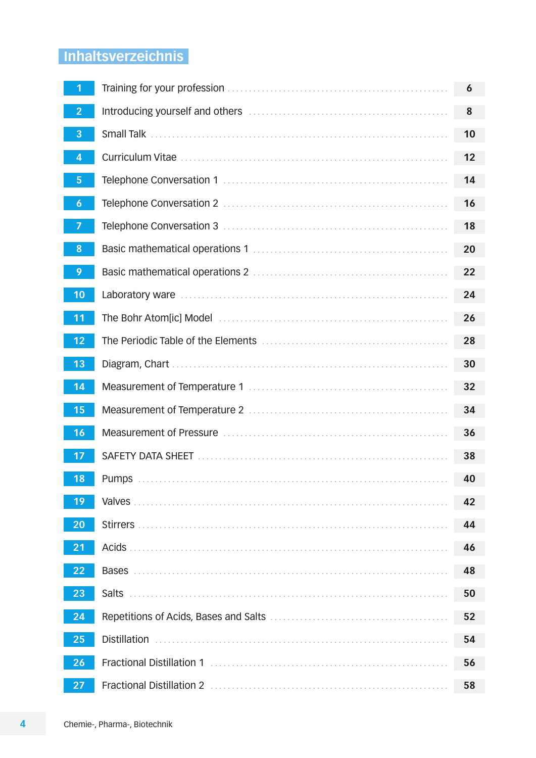# Inhaltsverzeichnis

|                  |                                                                        | 6  |
|------------------|------------------------------------------------------------------------|----|
| $\overline{2}$   | Introducing yourself and others <b>constructed in the construction</b> | 8  |
| 3                | <b>Small Talk</b>                                                      | 10 |
| 4                |                                                                        | 12 |
| 5                |                                                                        | 14 |
| $\boldsymbol{6}$ |                                                                        | 16 |
| $\overline{7}$   |                                                                        | 18 |
| 8                |                                                                        | 20 |
| 9                |                                                                        | 22 |
| 10               | Laboratory ware                                                        | 24 |
| 11               |                                                                        | 26 |
| 12               |                                                                        | 28 |
| 13               |                                                                        | 30 |
| $\sqrt{14}$      |                                                                        | 32 |
| 15               |                                                                        | 34 |
| <b>16</b>        |                                                                        | 36 |
| 17               |                                                                        | 38 |
| <b>18</b>        |                                                                        | 40 |
| 19               | Valves.                                                                | 42 |
| 20               |                                                                        | 44 |
| 21               | Acids.                                                                 | 46 |
| 22               |                                                                        | 48 |
| 23               | <b>Salts</b>                                                           | 50 |
| 24               |                                                                        | 52 |
| 25               | <b>Distillation</b>                                                    | 54 |
| 26               | Fractional Distillation 1                                              | 56 |
| 27               |                                                                        | 58 |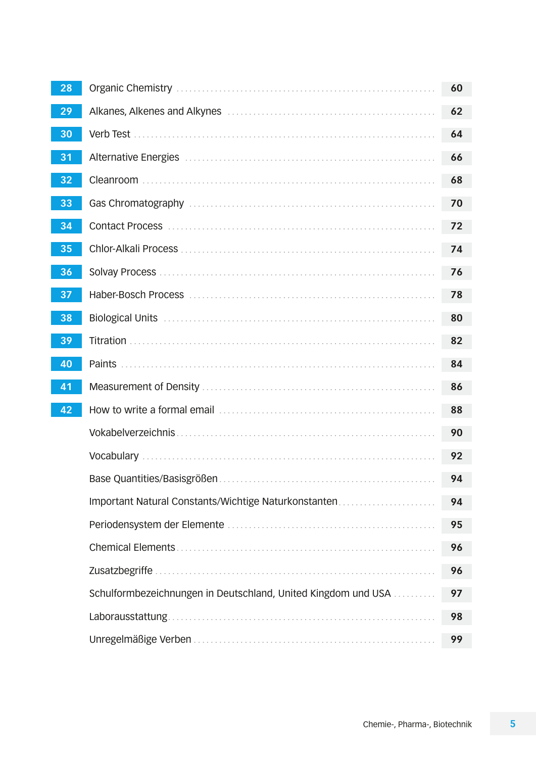| 28 |                                                               | 60 |
|----|---------------------------------------------------------------|----|
| 29 |                                                               | 62 |
| 30 | Verb Test                                                     | 64 |
| 31 |                                                               | 66 |
| 32 |                                                               | 68 |
| 33 |                                                               | 70 |
| 34 |                                                               | 72 |
| 35 |                                                               | 74 |
| 36 |                                                               | 76 |
| 37 |                                                               | 78 |
| 38 |                                                               | 80 |
| 39 |                                                               | 82 |
| 40 |                                                               | 84 |
| 41 |                                                               | 86 |
| 42 |                                                               | 88 |
|    |                                                               | 90 |
|    |                                                               | 92 |
|    |                                                               | 94 |
|    | Important Natural Constants/Wichtige Naturkonstanten          | 94 |
|    |                                                               | 95 |
|    |                                                               | 96 |
|    | Zusatzbegriffe                                                | 96 |
|    | Schulformbezeichnungen in Deutschland, United Kingdom und USA | 97 |
|    | Laborausstattung.                                             | 98 |
|    |                                                               | 99 |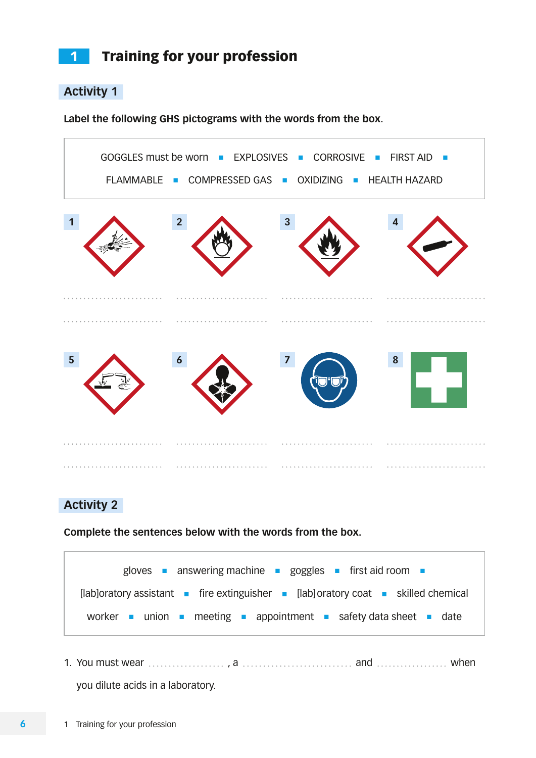# 1 Training for your profession

### **Activity 1**

**Label the following GHS pictograms with the words from the box.**



## **Activity 2**

**Complete the sentences below with the words from the box.**



1. You must wear  $\ldots$   $\ldots$   $\ldots$   $\ldots$   $a$   $\ldots$   $\ldots$   $\ldots$   $\ldots$  and  $\ldots$   $\ldots$   $\ldots$  . when you dilute acids in a laboratory.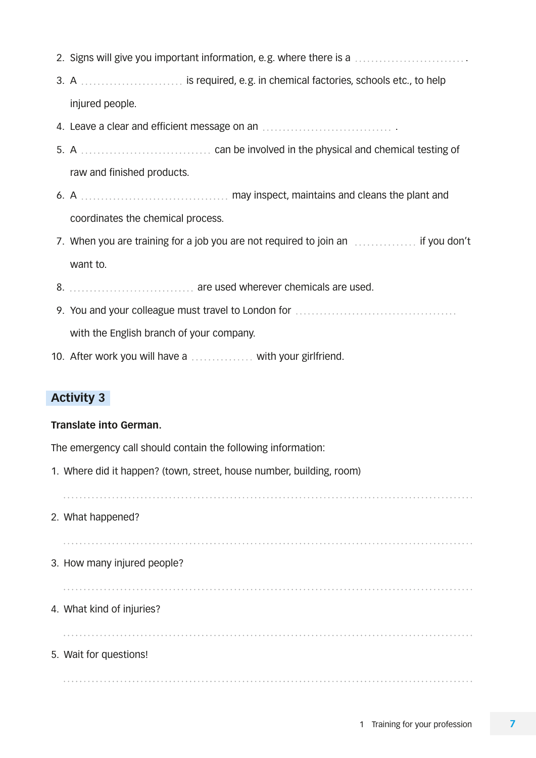- 2. Signs will give you important information, e.g. where there is a .
- 3. A ............................ is required, e.g. in chemical factories, schools etc., to help injured people.
- 4. Leave a clear and efficient message on an .
- 5. A can be involved in the physical and chemical testing of raw and finished products.
- 6. A may inspect, maintains and cleans the plant and coordinates the chemical process.
- 7. When you are training for a job you are not required to join an *improduced* if you don't want to.
- 8. are used wherever chemicals are used.
- 9. You and your colleague must travel to London for with the English branch of your company.
- 10. After work you will have  $a_1, \ldots, a_k$  with your girlfriend.

#### **Translate into German.**

The emergency call should contain the following information:

1. Where did it happen? (town, street, house number, building, room)

2. What happened?

- 3. How many injured people?
- 4. What kind of injuries?

#### 5. Wait for questions!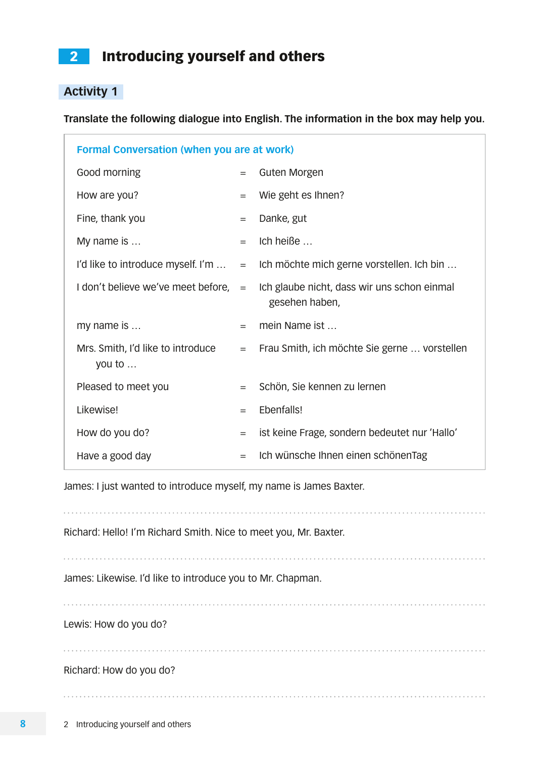# <span id="page-4-0"></span>2 Introducing yourself and others

# **Activity 1**

**Translate the following dialogue into English. The information in the box may help you.**

| <b>Formal Conversation (when you are at work)</b> |     |                                                               |
|---------------------------------------------------|-----|---------------------------------------------------------------|
| Good morning                                      | $=$ | Guten Morgen                                                  |
| How are you?                                      | $=$ | Wie geht es Ihnen?                                            |
| Fine, thank you                                   | $=$ | Danke, gut                                                    |
| My name is                                        | $=$ | Ich heiße                                                     |
| I'd like to introduce myself. I'm                 | $=$ | Ich möchte mich gerne vorstellen. Ich bin                     |
| I don't believe we've meet before,                | $=$ | Ich glaube nicht, dass wir uns schon einmal<br>gesehen haben, |
| my name is                                        | $=$ | mein Name ist                                                 |
| Mrs. Smith, I'd like to introduce<br>you to       | $=$ | Frau Smith, ich möchte Sie gerne  vorstellen                  |
| Pleased to meet you                               | $=$ | Schön, Sie kennen zu lernen                                   |
| Likewise!                                         | $=$ | Ebenfalls!                                                    |
| How do you do?                                    | $=$ | ist keine Frage, sondern bedeutet nur 'Hallo'                 |
| Have a good day                                   | $=$ | Ich wünsche Ihnen einen schönenTag                            |

James: I just wanted to introduce myself, my name is James Baxter.

Richard: Hello! I'm Richard Smith. Nice to meet you, Mr. Baxter.

James: Likewise. I'd like to introduce you to Mr. Chapman.

Lewis: How do you do?

Richard: How do you do?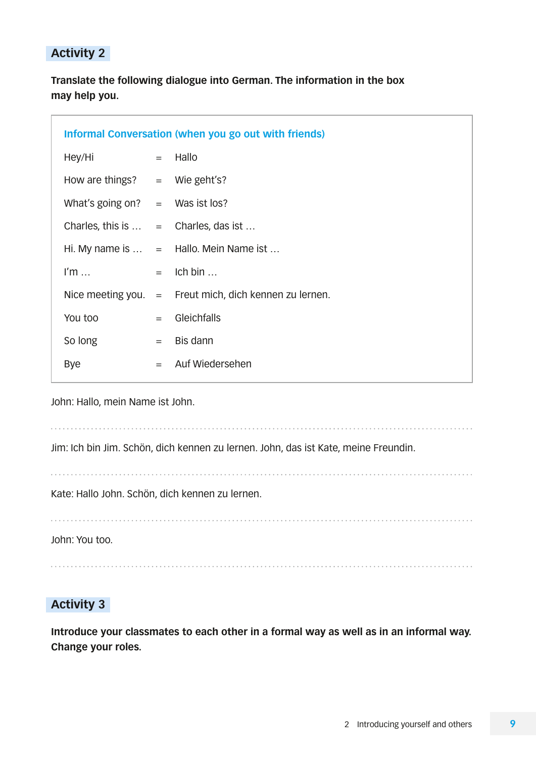**Translate the following dialogue into German. The information in the box may help you.**

|                   | <b>Informal Conversation (when you go out with friends)</b> |
|-------------------|-------------------------------------------------------------|
|                   | $=$ Hallo                                                   |
|                   | How are things? $=$ Wie geht's?                             |
|                   | What's going on? $=$ Was ist los?                           |
|                   | Charles, this is $\ldots$ = Charles, das ist $\ldots$       |
|                   | Hi. My name is $\ldots$ = Hallo. Mein Name ist $\ldots$     |
|                   | $=$ Ich bin                                                 |
| Nice meeting you. | $=$ Freut mich, dich kennen zu lernen.                      |
| $=$               | Gleichfalls                                                 |
| $=$               | Bis dann                                                    |
| $=$               | Auf Wiedersehen                                             |
|                   |                                                             |

John: Hallo, mein Name ist John.

Jim: Ich bin Jim. Schön, dich kennen zu lernen. John, das ist Kate, meine Freundin.

Kate: Hallo John. Schön, dich kennen zu lernen.

John: You too.

## **Activity 3**

**Introduce your classmates to each other in a formal way as well as in an informal way. Change your roles.**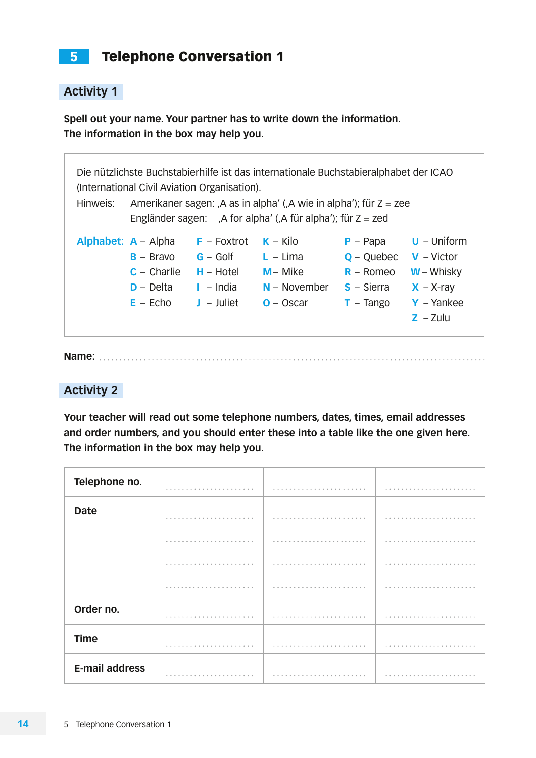# <span id="page-6-0"></span>5 Telephone Conversation 1

## **Activity 1**

**Spell out your name. Your partner has to write down the information. The information in the box may help you.**

| Hinweis: |                                                                                    | (International Civil Aviation Organisation).                                | Die nützlichste Buchstabierhilfe ist das internationale Buchstabieralphabet der ICAO<br>Amerikaner sagen: ,A as in alpha' (,A wie in alpha'); für $Z = zee$<br>Engländer sagen: , A for alpha' (, A für alpha'); für $Z = zed$ |                                                                            |                                                                                             |
|----------|------------------------------------------------------------------------------------|-----------------------------------------------------------------------------|--------------------------------------------------------------------------------------------------------------------------------------------------------------------------------------------------------------------------------|----------------------------------------------------------------------------|---------------------------------------------------------------------------------------------|
|          | Alphabet: $A -$ Alpha<br>$B - Brawo$<br>$C -$ Charlie<br>$D - Delta$<br>$E - Echo$ | $F -$ Foxtrot<br>$G - G$ olf<br>$H - H$ otel<br>$I - India$<br>$J -$ Juliet | $K -$ Kilo<br>$L - Lima$<br>$M -$ Mike<br>$N - November$<br>$O - Oscar$                                                                                                                                                        | $P - Papa$<br>$Q - Q$ uebec<br>$R -$ Romeo<br>$S - S$ ierra<br>$T - Tango$ | $U -$ Uniform<br>$V - Victor$<br>$W - Whisky$<br>$X - X-ray$<br>$Y - Yankee$<br>$Z - Z$ ulu |

**Name:** 

### **Activity 2**

**Your teacher will read out some telephone numbers, dates, times, email addresses and order numbers, and you should enter these into a table like the one given here. The information in the box may help you.**

| Telephone no.         |                |               |                |
|-----------------------|----------------|---------------|----------------|
| <b>Date</b>           |                |               |                |
|                       |                |               | $\sim$ $\sim$  |
|                       |                | $\sim$ $\sim$ | $\sim$ $\sim$  |
|                       |                | $A = A$       |                |
| Order no.             | 0.8            |               |                |
| <b>Time</b>           | 0.0.0.0.0<br>. | .             | .              |
| <b>E-mail address</b> |                | .<br>$0 - 0$  | 0 <sup>0</sup> |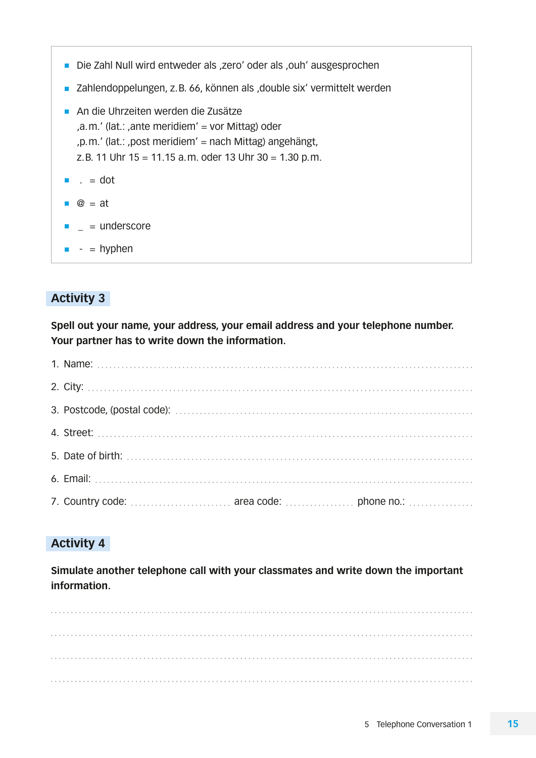- Die Zahl Null wird entweder als ,zero' oder als ,ouh' ausgesprochen
- Zahlendoppelungen, z.B. 66, können als ,double six' vermittelt werden
- An die Uhrzeiten werden die Zusätze , a.m.' (lat.: , ante meridiem' = vor Mittag) oder , p.m.' (lat.: , post meridiem' = nach Mittag) angehängt, z.B. 11 Uhr 15 = 11.15 a.m. oder 13 Uhr 30 = 1.30 p.m.
- $\blacksquare$  . = dot
- $\bullet$   $\circledcirc$  = at
- $=$  underscore
- $\blacksquare$  = hyphen

**Spell out your name, your address, your email address and your telephone number. Your partner has to write down the information.**

## **Activity 4**

**Simulate another telephone call with your classmates and write down the important information.**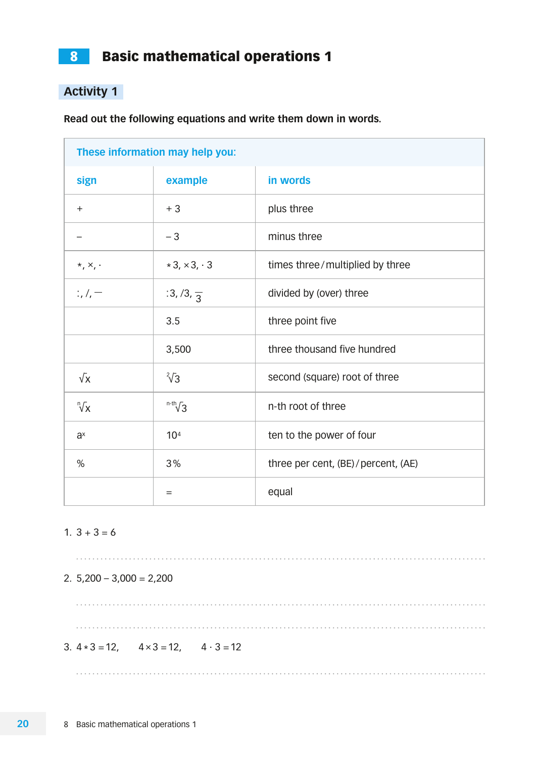<span id="page-8-0"></span>8 **Basic mathematical operations 1** 

## **Activity 1**

**Read out the following equations and write them down in words.**

|                              | These information may help you: |                                      |
|------------------------------|---------------------------------|--------------------------------------|
| sign                         | example                         | in words                             |
| $+$                          | $+3$                            | plus three                           |
|                              | $-3$                            | minus three                          |
| $\star$ , $\times$ , $\cdot$ | $*3, \times 3, \cdot 3$         | times three/multiplied by three      |
| $1, 1, -$                    | $:3, 7, \frac{1}{3}$            | divided by (over) three              |
|                              | 3.5                             | three point five                     |
|                              | 3,500                           | three thousand five hundred          |
| $\sqrt{x}$                   | $\sqrt[2]{3}$                   | second (square) root of three        |
| $\sqrt[n]{x}$                | $n-th}$ $\sqrt{3}$              | n-th root of three                   |
| $a^x$                        | 10 <sup>4</sup>                 | ten to the power of four             |
| $\%$                         | 3%                              | three per cent, (BE) / percent, (AE) |
|                              | $=$                             | equal                                |

#### 1.  $3 + 3 = 6$

2.  $5,200 - 3,000 = 2,200$ 

3.  $4 \times 3 = 12$ ,  $4 \times 3 = 12$ ,  $4 \cdot 3 = 12$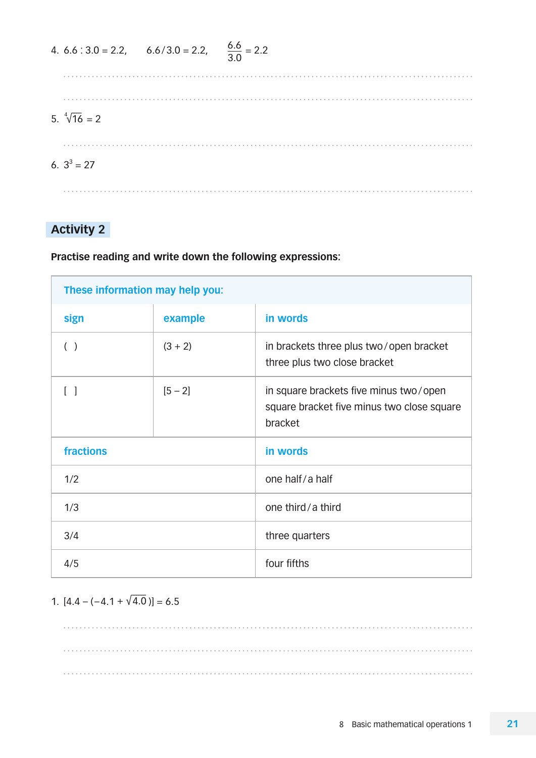| 4. $6.6 : 3.0 = 2.2,$ $6.6 / 3.0 = 2.2,$ $\frac{6.6}{3.0} = 2.2$ |  |
|------------------------------------------------------------------|--|
|                                                                  |  |
| 5. $\sqrt[4]{16} = 2$                                            |  |
| 6. $3^3 = 27$                                                    |  |
|                                                                  |  |

**Practise reading and write down the following expressions:**

| These information may help you: |           |                                                                                                 |
|---------------------------------|-----------|-------------------------------------------------------------------------------------------------|
| sign                            | example   | in words                                                                                        |
| ( )                             | $(3 + 2)$ | in brackets three plus two/open bracket<br>three plus two close bracket                         |
| $\begin{bmatrix} \end{bmatrix}$ | $[5 - 2]$ | in square brackets five minus two/open<br>square bracket five minus two close square<br>bracket |
| fractions                       |           | in words                                                                                        |
| 1/2                             |           | one half/a half                                                                                 |
| 1/3                             |           | one third/a third                                                                               |
| 3/4                             |           | three quarters                                                                                  |
| 4/5                             |           | four fifths                                                                                     |

## 1.  $[4.4 - (-4.1 + \sqrt{4.0})] = 6.5$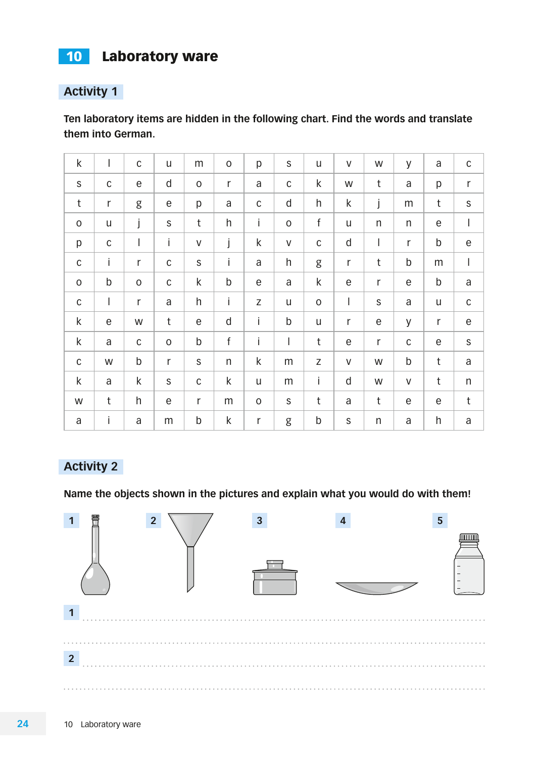# <span id="page-10-0"></span>10 Laboratory ware

## **Activity 1**

**Ten laboratory items are hidden in the following chart. Find the words and translate them into German.**

| $\sf k$             | I              | $\mathsf C$              | $\mathsf{u}$              | ${\sf m}$   | $\mathsf{O}\xspace$ | p                   | $\mathsf S$  | u           | $\mathsf V$  | W            | y                         | a                     | $\mathsf C$  |
|---------------------|----------------|--------------------------|---------------------------|-------------|---------------------|---------------------|--------------|-------------|--------------|--------------|---------------------------|-----------------------|--------------|
| $\mathsf S$         | $\mathsf C$    | $\mathsf e$              | $\sf d$                   | $\mathsf O$ | r                   | $\mathsf{a}$        | $\mathsf C$  | k           | W            | $\mathsf t$  | $\mathsf a$               | p                     | $\mathsf{r}$ |
| t                   | $\mathsf r$    | g                        | $\mathop{\rm e}\nolimits$ | p           | a                   | $\mathsf C$         | $\mathsf{d}$ | h           | $\sf k$      | j            | m                         | $\mathsf t$           | $\mathsf S$  |
| $\mathsf{O}\xspace$ | U              | j                        | $\mathsf S$               | $\mathsf t$ | h                   | İ                   | $\mathsf O$  | $\mathsf f$ | U            | $\sf n$      | $\sf n$                   | $\mathop{\mathrm{e}}$ | I            |
| p                   | $\mathsf C$    | $\overline{\phantom{a}}$ | Ĺ                         | V           | j                   | $\sf k$             | $\sf V$      | $\mathsf C$ | $\sf d$      | I            | r                         | $\mathsf b$           | е            |
| $\mathsf C$         | İ              | r                        | $\mathsf C$               | $\mathsf S$ | İ                   | a                   | h            | g           | $\mathsf r$  | t            | b                         | m                     | I            |
| $\mathsf O$         | $\mathsf b$    | $\mathsf O$              | $\mathsf C$               | k           | $\mathsf b$         | $\mathsf e$         | a            | $\sf k$     | $\mathsf e$  | r            | $\mathop{\rm e}\nolimits$ | $\mathsf b$           | a            |
| $\mathsf C$         | $\overline{1}$ | r                        | $\mathsf{a}$              | h           | İ                   | Z                   | U            | $\mathsf O$ | I            | $\mathsf S$  | $\mathsf a$               | u                     | $\mathsf C$  |
| $\sf k$             | $\mathsf e$    | W                        | $t$                       | e           | $\mathsf{d}$        | İ                   | $\mathsf b$  | U           | $\mathsf r$  | $\mathsf e$  | y                         | $\mathsf r$           | $\mathsf e$  |
| $\sf k$             | a              | $\mathsf C$              | $\mathsf O$               | $\sf b$     | $\mathsf f$         | Ĺ                   | I            | $\mathsf t$ | $\mathsf e$  | r            | $\mathsf C$               | $\mathop{\mathrm{e}}$ | $\mathsf S$  |
| $\mathsf C$         | W              | $\mathsf b$              | $\mathsf r$               | $\mathsf S$ | $\mathsf{n}$        | $\mathsf k$         | m            | Z           | $\mathsf V$  | W            | $\mathsf b$               | $\mathsf t$           | a            |
| $\mathsf k$         | a              | k                        | $\mathsf S$               | $\mathsf C$ | $\sf k$             | $\mathsf{u}$        | m            | İ           | $\mathsf{d}$ | W            | $\sf V$                   | $\mathsf t$           | n            |
| W                   | t              | h                        | $\mathsf e$               | $\mathsf r$ | m                   | $\mathsf{O}\xspace$ | $\mathsf S$  | t           | a            | $\mathsf t$  | $\mathsf e$               | $\mathsf e$           | $\mathsf t$  |
| a                   | İ              | a                        | m                         | b           | k                   | $\mathsf r$         | g            | b           | $\mathsf S$  | $\mathsf{n}$ | a                         | h                     | a            |

## **Activity 2**

**Name the objects shown in the pictures and explain what you would do with them!**

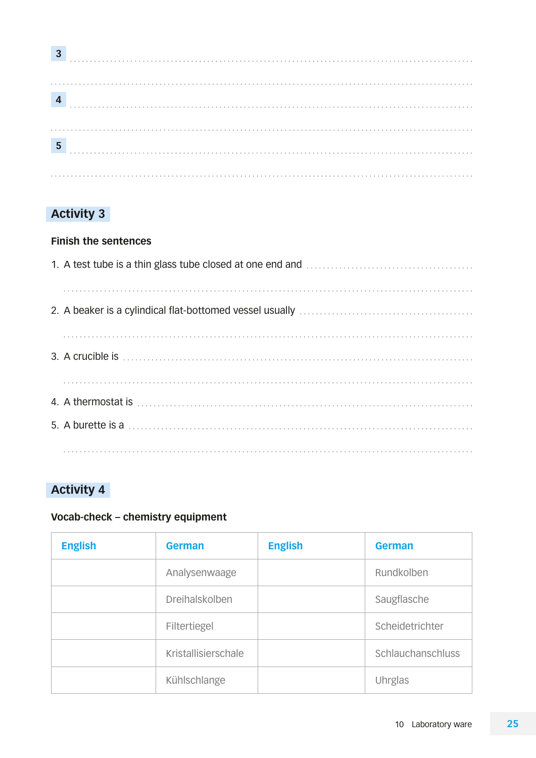| 3 |  |  |  |  |  |  |  |  |  |  |  |  |  |  |  |  |  |  |  |  |  |  |  |  |  |  |  |  |  |  |  |  |  |  |  |  |  |  |  |  |  |  |
|---|--|--|--|--|--|--|--|--|--|--|--|--|--|--|--|--|--|--|--|--|--|--|--|--|--|--|--|--|--|--|--|--|--|--|--|--|--|--|--|--|--|--|
|   |  |  |  |  |  |  |  |  |  |  |  |  |  |  |  |  |  |  |  |  |  |  |  |  |  |  |  |  |  |  |  |  |  |  |  |  |  |  |  |  |  |  |
|   |  |  |  |  |  |  |  |  |  |  |  |  |  |  |  |  |  |  |  |  |  |  |  |  |  |  |  |  |  |  |  |  |  |  |  |  |  |  |  |  |  |  |
|   |  |  |  |  |  |  |  |  |  |  |  |  |  |  |  |  |  |  |  |  |  |  |  |  |  |  |  |  |  |  |  |  |  |  |  |  |  |  |  |  |  |  |
|   |  |  |  |  |  |  |  |  |  |  |  |  |  |  |  |  |  |  |  |  |  |  |  |  |  |  |  |  |  |  |  |  |  |  |  |  |  |  |  |  |  |  |
|   |  |  |  |  |  |  |  |  |  |  |  |  |  |  |  |  |  |  |  |  |  |  |  |  |  |  |  |  |  |  |  |  |  |  |  |  |  |  |  |  |  |  |
|   |  |  |  |  |  |  |  |  |  |  |  |  |  |  |  |  |  |  |  |  |  |  |  |  |  |  |  |  |  |  |  |  |  |  |  |  |  |  |  |  |  |  |
| 5 |  |  |  |  |  |  |  |  |  |  |  |  |  |  |  |  |  |  |  |  |  |  |  |  |  |  |  |  |  |  |  |  |  |  |  |  |  |  |  |  |  |  |
|   |  |  |  |  |  |  |  |  |  |  |  |  |  |  |  |  |  |  |  |  |  |  |  |  |  |  |  |  |  |  |  |  |  |  |  |  |  |  |  |  |  |  |
|   |  |  |  |  |  |  |  |  |  |  |  |  |  |  |  |  |  |  |  |  |  |  |  |  |  |  |  |  |  |  |  |  |  |  |  |  |  |  |  |  |  |  |

#### **Finish the sentences**

## **Activity 4**

#### **Vocab-check – chemistry equipment**

| <b>English</b> | <b>German</b>         | <b>English</b> | <b>German</b>     |
|----------------|-----------------------|----------------|-------------------|
|                | Analysenwaage         |                | Rundkolben        |
|                | <b>Dreihalskolben</b> |                | Saugflasche       |
|                | Filtertiegel          |                | Scheidetrichter   |
|                | Kristallisierschale   |                | Schlauchanschluss |
|                | Kühlschlange          |                | Uhrglas           |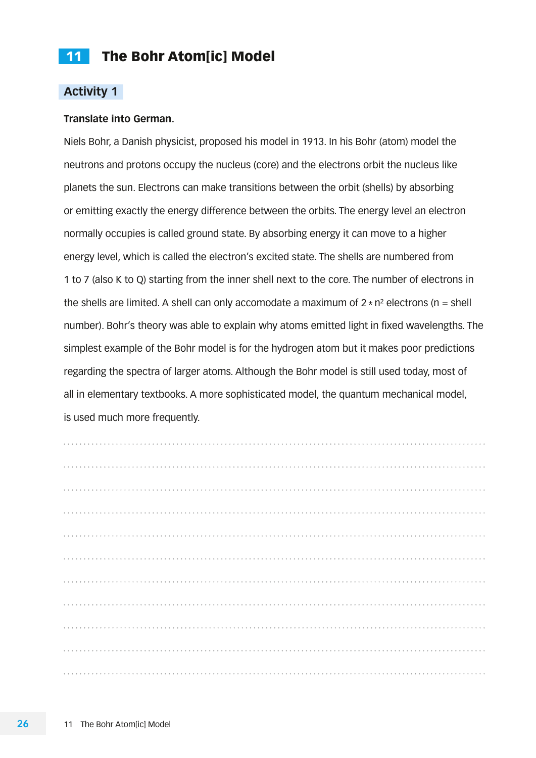#### <span id="page-12-0"></span>**Translate into German.**

Niels Bohr, a Danish physicist, proposed his model in 1913. In his Bohr (atom) model the neutrons and protons occupy the nucleus (core) and the electrons orbit the nucleus like planets the sun. Electrons can make transitions between the orbit (shells) by absorbing or emitting exactly the energy difference between the orbits. The energy level an electron normally occupies is called ground state. By absorbing energy it can move to a higher energy level, which is called the electron's excited state. The shells are numbered from 1 to 7 (also K to Q) starting from the inner shell next to the core. The number of electrons in the shells are limited. A shell can only accomodate a maximum of  $2 \times n^2$  electrons (n = shell number). Bohr's theory was able to explain why atoms emitted light in fixed wavelengths. The simplest example of the Bohr model is for the hydrogen atom but it makes poor predictions regarding the spectra of larger atoms. Although the Bohr model is still used today, most of all in elementary textbooks. A more sophisticated model, the quantum mechanical model, is used much more frequently.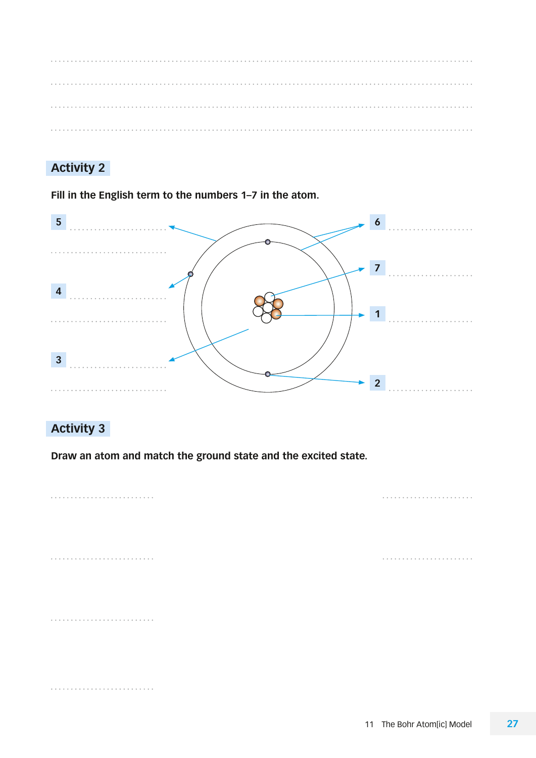**Fill in the English term to the numbers 1–7 in the atom.**



## **Activity 3**

**Draw an atom and match the ground state and the excited state.**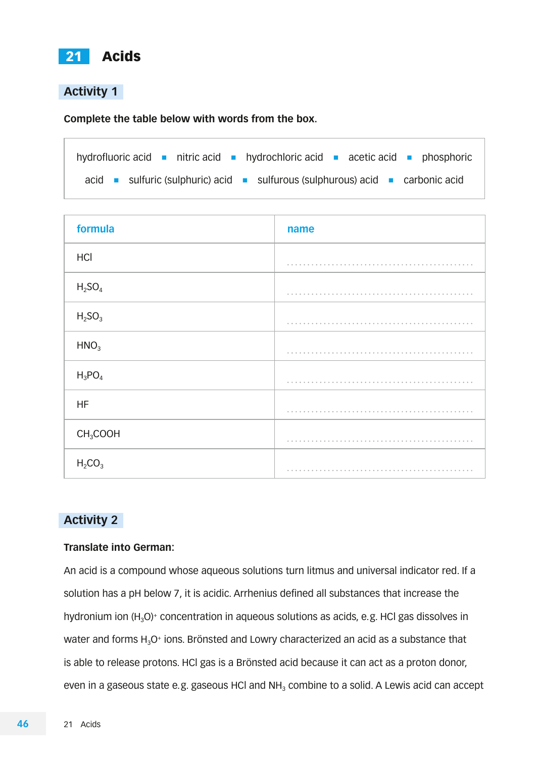<span id="page-14-0"></span>

**Complete the table below with words from the box.**

| hydrofluoric acid $\blacksquare$ nitric acid $\blacksquare$ hydrochloric acid $\blacksquare$ acetic acid $\blacksquare$ phosphoric |  |
|------------------------------------------------------------------------------------------------------------------------------------|--|
| acid sulfuric (sulphuric) acid sulfurous (sulphurous) acid sacarbonic acid                                                         |  |

| formula                        | name |
|--------------------------------|------|
| HCI                            |      |
| H <sub>2</sub> SO <sub>4</sub> |      |
| H <sub>2</sub> SO <sub>3</sub> |      |
| HNO <sub>3</sub>               |      |
| $H_3PO_4$                      |      |
| <b>HF</b>                      |      |
| CH <sub>3</sub> COOH           |      |
| $H_2CO_3$                      |      |

## **Activity 2**

#### **Translate into German:**

An acid is a compound whose aqueous solutions turn litmus and universal indicator red. If a solution has a pH below 7, it is acidic. Arrhenius defined all substances that increase the hydronium ion  $(H_3O)^+$  concentration in aqueous solutions as acids, e.g. HCl gas dissolves in water and forms  $H_3O^+$  ions. Brönsted and Lowry characterized an acid as a substance that is able to release protons. HCl gas is a Brönsted acid because it can act as a proton donor, even in a gaseous state e.g. gaseous HCl and  $NH<sub>3</sub>$  combine to a solid. A Lewis acid can accept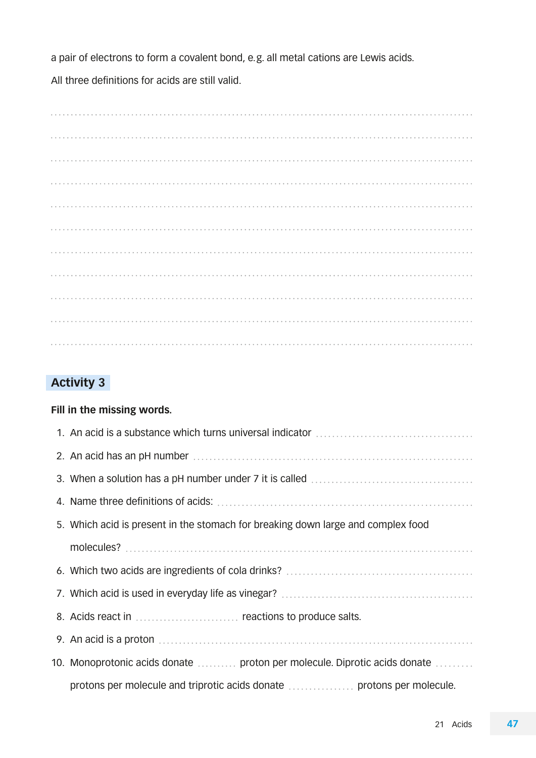a pair of electrons to form a covalent bond, e.g. all metal cations are Lewis acids.

All three definitions for acids are still valid.

 

## **Activity 3**

#### **Fill in the missing words.**

| 5. Which acid is present in the stomach for breaking down large and complex food |
|----------------------------------------------------------------------------------|
|                                                                                  |
|                                                                                  |
|                                                                                  |
| 8. Acids react in  reactions to produce salts.                                   |
|                                                                                  |
| 10. Monoprotonic acids donate  proton per molecule. Diprotic acids donate        |
| protons per molecule and triprotic acids donate  protons per molecule.           |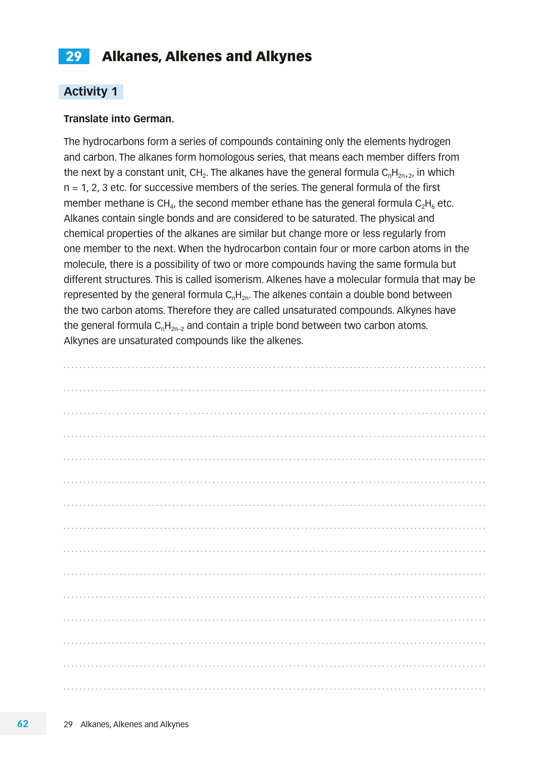## <span id="page-16-0"></span>29 Alkanes, Alkenes and Alkynes

#### **Activity 1**

#### **Translate into German.**

The hydrocarbons form a series of compounds containing only the elements hydrogen and carbon. The alkanes form homologous series, that means each member differs from the next by a constant unit, CH<sub>2</sub>. The alkanes have the general formula  $C_nH_{2n+2}$ , in which n = 1, 2, 3 etc. for successive members of the series. The general formula of the first member methane is CH<sub>4</sub>, the second member ethane has the general formula  $C_2H_6$  etc. Alkanes contain single bonds and are considered to be saturated. The physical and chemical properties of the alkanes are similar but change more or less regularly from one member to the next. When the hydrocarbon contain four or more carbon atoms in the molecule, there is a possibility of two or more compounds having the same formula but different structures. This is called isomerism. Alkenes have a molecular formula that may be represented by the general formula  $C<sub>n</sub>H<sub>2n</sub>$ . The alkenes contain a double bond between the two carbon atoms. Therefore they are called unsaturated compounds. Alkynes have the general formula  $C_nH_{2n-2}$  and contain a triple bond between two carbon atoms. Alkynes are unsaturated compounds like the alkenes.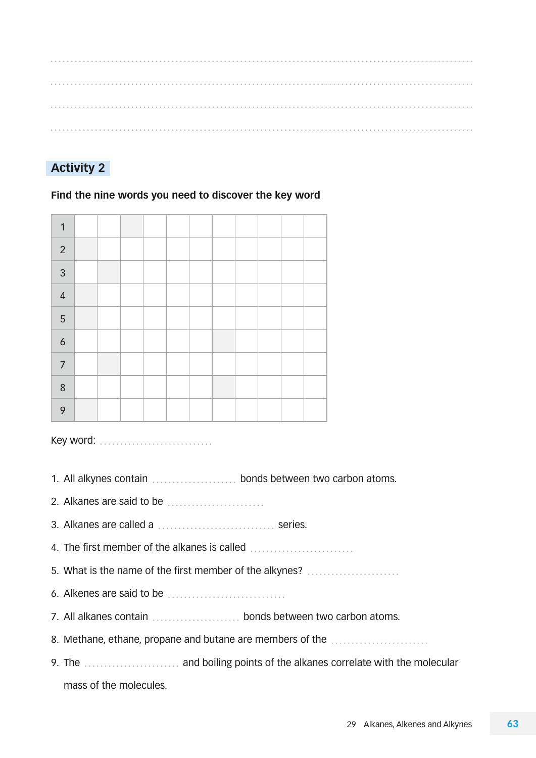## **Activity 2**

#### **Find the nine words you need to discover the key word**

| 1                |  |  |  |  |  |  |
|------------------|--|--|--|--|--|--|
| $\sqrt{2}$       |  |  |  |  |  |  |
| $\mathfrak{Z}$   |  |  |  |  |  |  |
| $\sqrt{4}$       |  |  |  |  |  |  |
| $\overline{5}$   |  |  |  |  |  |  |
| $\boldsymbol{6}$ |  |  |  |  |  |  |
| $\overline{7}$   |  |  |  |  |  |  |
| $\,8\,$          |  |  |  |  |  |  |
| 9                |  |  |  |  |  |  |

Key word: ............................

1. All alkynes contain  $\ldots$  bonds between two carbon atoms.

2. Alkanes are said to be

3. Alkanes are called a ................................. series.

4. The first member of the alkanes is called

5. What is the name of the first member of the alkynes?

6. Alkenes are said to be

7. All alkanes contain bonds between two carbon atoms.

8. Methane, ethane, propane and butane are members of the .......................

9. The .............................. and boiling points of the alkanes correlate with the molecular mass of the molecules.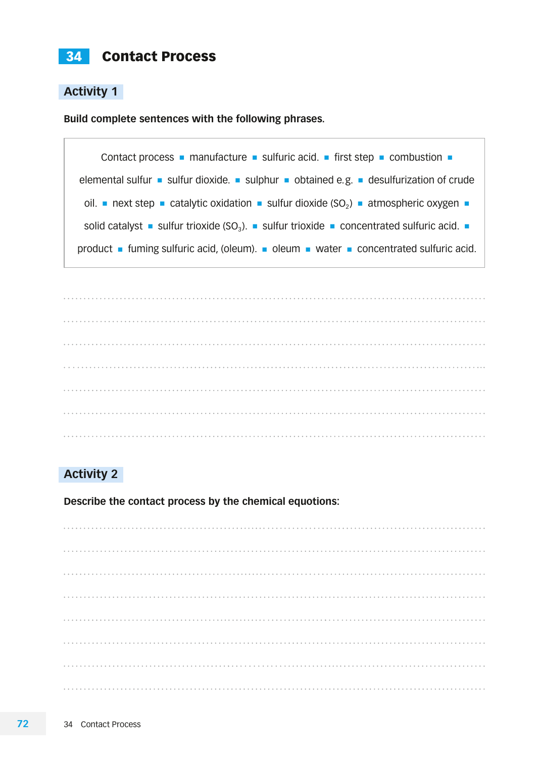<span id="page-18-0"></span>**Build complete sentences with the following phrases.**





## **Activity 2**

**Describe the contact process by the chemical equotions:**

l, l, į,